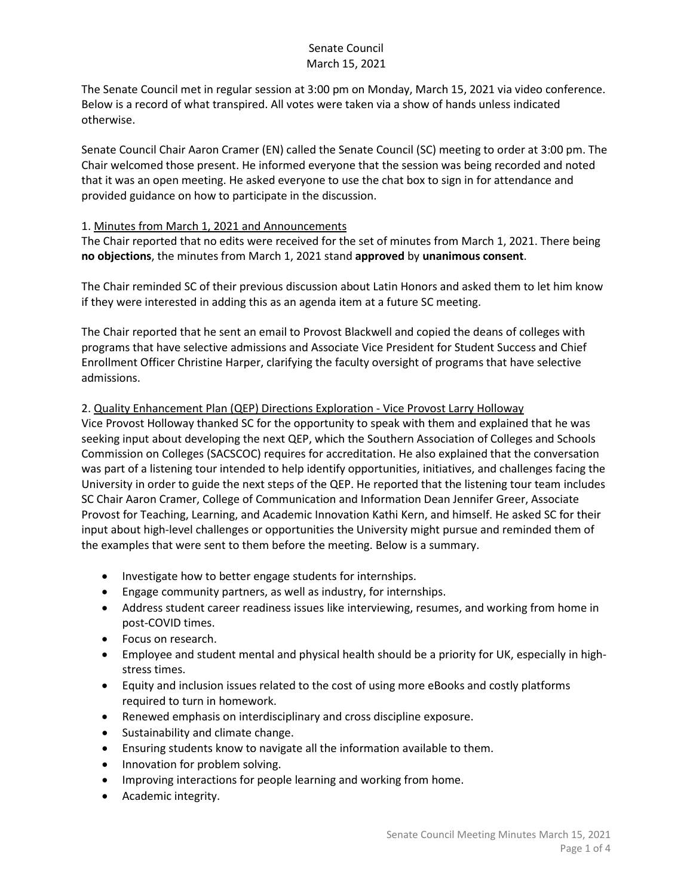## Senate Council March 15, 2021

The Senate Council met in regular session at 3:00 pm on Monday, March 15, 2021 via video conference. Below is a record of what transpired. All votes were taken via a show of hands unless indicated otherwise.

Senate Council Chair Aaron Cramer (EN) called the Senate Council (SC) meeting to order at 3:00 pm. The Chair welcomed those present. He informed everyone that the session was being recorded and noted that it was an open meeting. He asked everyone to use the chat box to sign in for attendance and provided guidance on how to participate in the discussion.

### 1. Minutes from March 1, 2021 and Announcements

The Chair reported that no edits were received for the set of minutes from March 1, 2021. There being **no objections**, the minutes from March 1, 2021 stand **approved** by **unanimous consent**.

The Chair reminded SC of their previous discussion about Latin Honors and asked them to let him know if they were interested in adding this as an agenda item at a future SC meeting.

The Chair reported that he sent an email to Provost Blackwell and copied the deans of colleges with programs that have selective admissions and Associate Vice President for Student Success and Chief Enrollment Officer Christine Harper, clarifying the faculty oversight of programs that have selective admissions.

### 2. Quality Enhancement Plan (QEP) Directions Exploration - Vice Provost Larry Holloway

Vice Provost Holloway thanked SC for the opportunity to speak with them and explained that he was seeking input about developing the next QEP, which the Southern Association of Colleges and Schools Commission on Colleges (SACSCOC) requires for accreditation. He also explained that the conversation was part of a listening tour intended to help identify opportunities, initiatives, and challenges facing the University in order to guide the next steps of the QEP. He reported that the listening tour team includes SC Chair Aaron Cramer, College of Communication and Information Dean Jennifer Greer, Associate Provost for Teaching, Learning, and Academic Innovation Kathi Kern, and himself. He asked SC for their input about high-level challenges or opportunities the University might pursue and reminded them of the examples that were sent to them before the meeting. Below is a summary.

- Investigate how to better engage students for internships.
- Engage community partners, as well as industry, for internships.
- Address student career readiness issues like interviewing, resumes, and working from home in post-COVID times.
- Focus on research.
- Employee and student mental and physical health should be a priority for UK, especially in highstress times.
- Equity and inclusion issues related to the cost of using more eBooks and costly platforms required to turn in homework.
- Renewed emphasis on interdisciplinary and cross discipline exposure.
- Sustainability and climate change.
- Ensuring students know to navigate all the information available to them.
- Innovation for problem solving.
- Improving interactions for people learning and working from home.
- Academic integrity.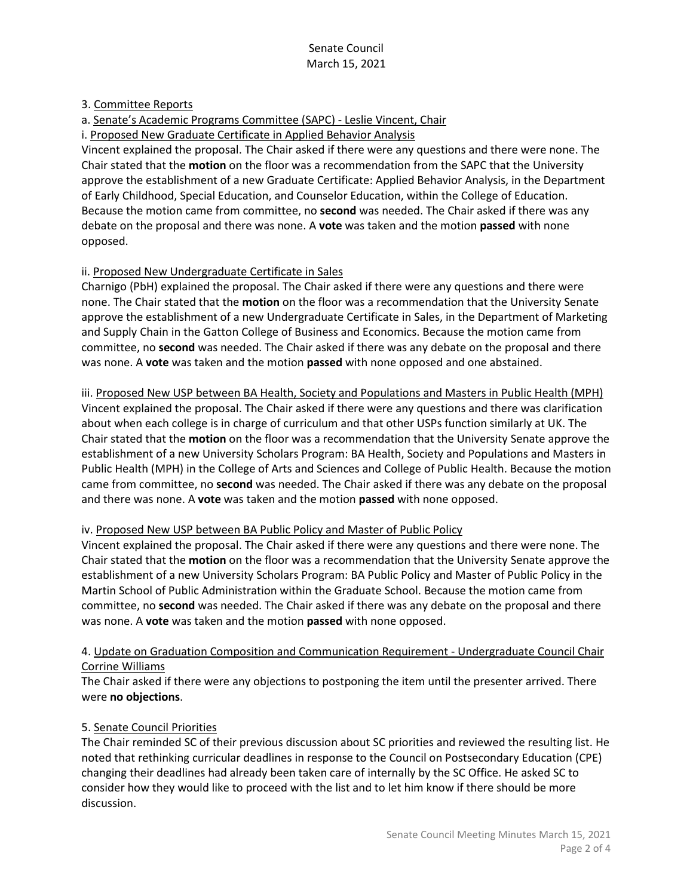## 3. Committee Reports

a. Senate's Academic Programs Committee (SAPC) - Leslie Vincent, Chair

i. Proposed New Graduate Certificate in Applied Behavior Analysis

Vincent explained the proposal. The Chair asked if there were any questions and there were none. The Chair stated that the **motion** on the floor was a recommendation from the SAPC that the University approve the establishment of a new Graduate Certificate: Applied Behavior Analysis, in the Department of Early Childhood, Special Education, and Counselor Education, within the College of Education. Because the motion came from committee, no **second** was needed. The Chair asked if there was any debate on the proposal and there was none. A **vote** was taken and the motion **passed** with none opposed.

## ii. Proposed New Undergraduate Certificate in Sales

Charnigo (PbH) explained the proposal. The Chair asked if there were any questions and there were none. The Chair stated that the **motion** on the floor was a recommendation that the University Senate approve the establishment of a new Undergraduate Certificate in Sales, in the Department of Marketing and Supply Chain in the Gatton College of Business and Economics. Because the motion came from committee, no **second** was needed. The Chair asked if there was any debate on the proposal and there was none. A **vote** was taken and the motion **passed** with none opposed and one abstained.

iii. Proposed New USP between BA Health, Society and Populations and Masters in Public Health (MPH) Vincent explained the proposal. The Chair asked if there were any questions and there was clarification about when each college is in charge of curriculum and that other USPs function similarly at UK. The Chair stated that the **motion** on the floor was a recommendation that the University Senate approve the establishment of a new University Scholars Program: BA Health, Society and Populations and Masters in Public Health (MPH) in the College of Arts and Sciences and College of Public Health. Because the motion came from committee, no **second** was needed. The Chair asked if there was any debate on the proposal and there was none. A **vote** was taken and the motion **passed** with none opposed.

#### iv. Proposed New USP between BA Public Policy and Master of Public Policy

Vincent explained the proposal. The Chair asked if there were any questions and there were none. The Chair stated that the **motion** on the floor was a recommendation that the University Senate approve the establishment of a new University Scholars Program: BA Public Policy and Master of Public Policy in the Martin School of Public Administration within the Graduate School. Because the motion came from committee, no **second** was needed. The Chair asked if there was any debate on the proposal and there was none. A **vote** was taken and the motion **passed** with none opposed.

## 4. Update on Graduation Composition and Communication Requirement - Undergraduate Council Chair Corrine Williams

The Chair asked if there were any objections to postponing the item until the presenter arrived. There were **no objections**.

## 5. Senate Council Priorities

The Chair reminded SC of their previous discussion about SC priorities and reviewed the resulting list. He noted that rethinking curricular deadlines in response to the Council on Postsecondary Education (CPE) changing their deadlines had already been taken care of internally by the SC Office. He asked SC to consider how they would like to proceed with the list and to let him know if there should be more discussion.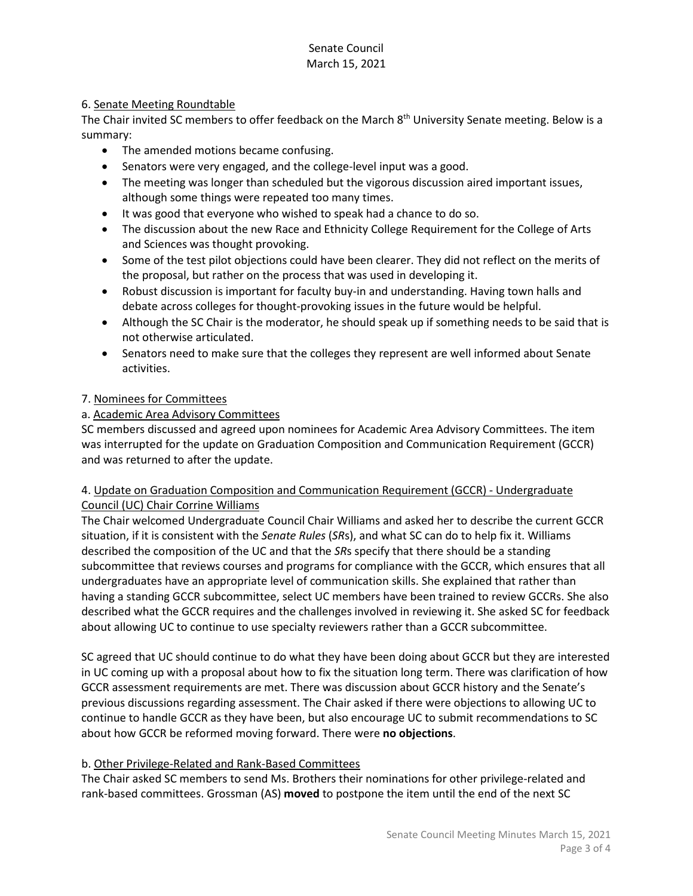# Senate Council March 15, 2021

### 6. Senate Meeting Roundtable

The Chair invited SC members to offer feedback on the March 8<sup>th</sup> University Senate meeting. Below is a summary:

- The amended motions became confusing.
- Senators were very engaged, and the college-level input was a good.
- The meeting was longer than scheduled but the vigorous discussion aired important issues, although some things were repeated too many times.
- It was good that everyone who wished to speak had a chance to do so.
- The discussion about the new Race and Ethnicity College Requirement for the College of Arts and Sciences was thought provoking.
- Some of the test pilot objections could have been clearer. They did not reflect on the merits of the proposal, but rather on the process that was used in developing it.
- Robust discussion is important for faculty buy-in and understanding. Having town halls and debate across colleges for thought-provoking issues in the future would be helpful.
- Although the SC Chair is the moderator, he should speak up if something needs to be said that is not otherwise articulated.
- Senators need to make sure that the colleges they represent are well informed about Senate activities.

## 7. Nominees for Committees

# a. Academic Area Advisory Committees

SC members discussed and agreed upon nominees for Academic Area Advisory Committees. The item was interrupted for the update on Graduation Composition and Communication Requirement (GCCR) and was returned to after the update.

### 4. Update on Graduation Composition and Communication Requirement (GCCR) - Undergraduate Council (UC) Chair Corrine Williams

The Chair welcomed Undergraduate Council Chair Williams and asked her to describe the current GCCR situation, if it is consistent with the *Senate Rules* (*SR*s), and what SC can do to help fix it. Williams described the composition of the UC and that the *SR*s specify that there should be a standing subcommittee that reviews courses and programs for compliance with the GCCR, which ensures that all undergraduates have an appropriate level of communication skills. She explained that rather than having a standing GCCR subcommittee, select UC members have been trained to review GCCRs. She also described what the GCCR requires and the challenges involved in reviewing it. She asked SC for feedback about allowing UC to continue to use specialty reviewers rather than a GCCR subcommittee.

SC agreed that UC should continue to do what they have been doing about GCCR but they are interested in UC coming up with a proposal about how to fix the situation long term. There was clarification of how GCCR assessment requirements are met. There was discussion about GCCR history and the Senate's previous discussions regarding assessment. The Chair asked if there were objections to allowing UC to continue to handle GCCR as they have been, but also encourage UC to submit recommendations to SC about how GCCR be reformed moving forward. There were **no objections**.

## b. Other Privilege-Related and Rank-Based Committees

The Chair asked SC members to send Ms. Brothers their nominations for other privilege-related and rank-based committees. Grossman (AS) **moved** to postpone the item until the end of the next SC